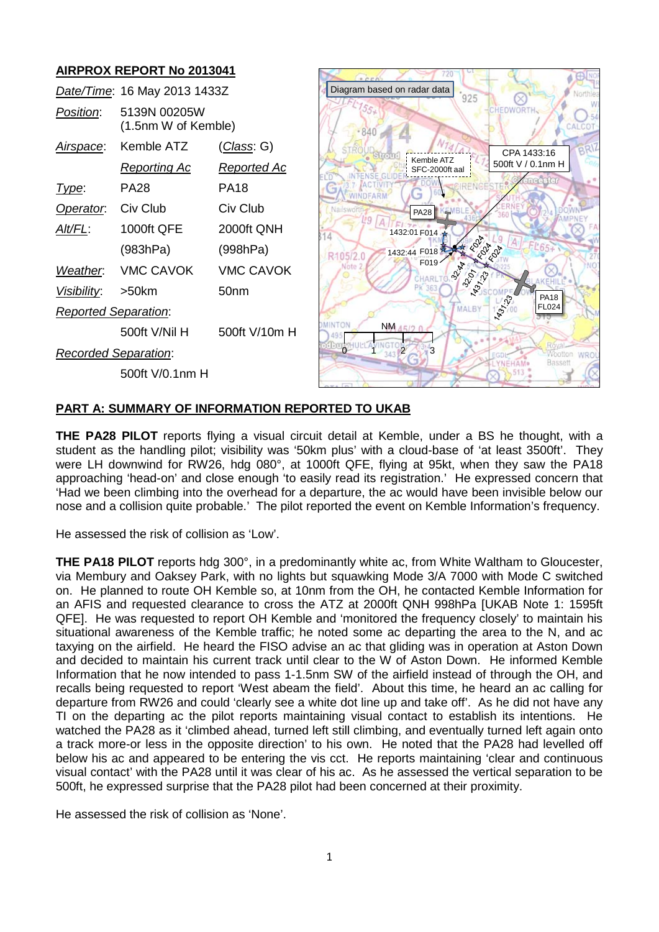## **AIRPROX REPORT No 2013041**



#### **PART A: SUMMARY OF INFORMATION REPORTED TO UKAB**

**THE PA28 PILOT** reports flying a visual circuit detail at Kemble, under a BS he thought, with a student as the handling pilot; visibility was '50km plus' with a cloud-base of 'at least 3500ft'. They were LH downwind for RW26, hdg 080°, at 1000ft QFE, flying at 95kt, when they saw the PA18 approaching 'head-on' and close enough 'to easily read its registration.' He expressed concern that 'Had we been climbing into the overhead for a departure, the ac would have been invisible below our nose and a collision quite probable.' The pilot reported the event on Kemble Information's frequency.

He assessed the risk of collision as 'Low'.

**THE PA18 PILOT** reports hdg 300°, in a predominantly white ac, from White Waltham to Gloucester, via Membury and Oaksey Park, with no lights but squawking Mode 3/A 7000 with Mode C switched on. He planned to route OH Kemble so, at 10nm from the OH, he contacted Kemble Information for an AFIS and requested clearance to cross the ATZ at 2000ft QNH 998hPa [UKAB Note 1: 1595ft QFE]. He was requested to report OH Kemble and 'monitored the frequency closely' to maintain his situational awareness of the Kemble traffic; he noted some ac departing the area to the N, and ac taxying on the airfield. He heard the FISO advise an ac that gliding was in operation at Aston Down and decided to maintain his current track until clear to the W of Aston Down. He informed Kemble Information that he now intended to pass 1-1.5nm SW of the airfield instead of through the OH, and recalls being requested to report 'West abeam the field'. About this time, he heard an ac calling for departure from RW26 and could 'clearly see a white dot line up and take off'. As he did not have any TI on the departing ac the pilot reports maintaining visual contact to establish its intentions. He watched the PA28 as it 'climbed ahead, turned left still climbing, and eventually turned left again onto a track more-or less in the opposite direction' to his own. He noted that the PA28 had levelled off below his ac and appeared to be entering the vis cct. He reports maintaining 'clear and continuous visual contact' with the PA28 until it was clear of his ac. As he assessed the vertical separation to be 500ft, he expressed surprise that the PA28 pilot had been concerned at their proximity.

He assessed the risk of collision as 'None'.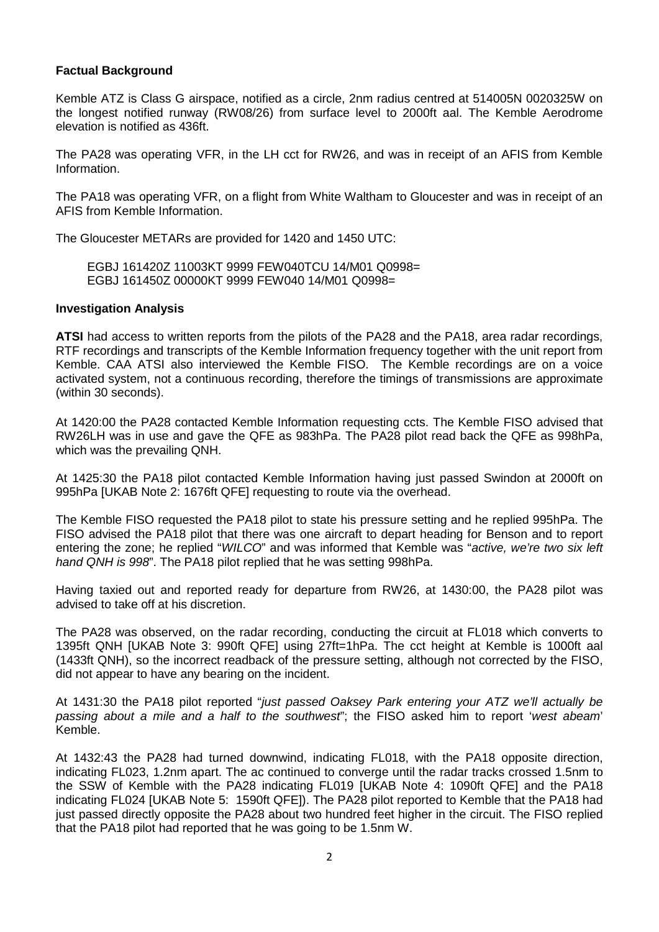## **Factual Background**

Kemble ATZ is Class G airspace, notified as a circle, 2nm radius centred at 514005N 0020325W on the longest notified runway (RW08/26) from surface level to 2000ft aal. The Kemble Aerodrome elevation is notified as 436ft.

The PA28 was operating VFR, in the LH cct for RW26, and was in receipt of an AFIS from Kemble Information.

The PA18 was operating VFR, on a flight from White Waltham to Gloucester and was in receipt of an AFIS from Kemble Information.

The Gloucester METARs are provided for 1420 and 1450 UTC:

EGBJ 161420Z 11003KT 9999 FEW040TCU 14/M01 Q0998= EGBJ 161450Z 00000KT 9999 FEW040 14/M01 Q0998=

#### **Investigation Analysis**

**ATSI** had access to written reports from the pilots of the PA28 and the PA18, area radar recordings, RTF recordings and transcripts of the Kemble Information frequency together with the unit report from Kemble. CAA ATSI also interviewed the Kemble FISO. The Kemble recordings are on a voice activated system, not a continuous recording, therefore the timings of transmissions are approximate (within 30 seconds).

At 1420:00 the PA28 contacted Kemble Information requesting ccts. The Kemble FISO advised that RW26LH was in use and gave the QFE as 983hPa. The PA28 pilot read back the QFE as 998hPa, which was the prevailing QNH.

At 1425:30 the PA18 pilot contacted Kemble Information having just passed Swindon at 2000ft on 995hPa [UKAB Note 2: 1676ft QFE] requesting to route via the overhead.

The Kemble FISO requested the PA18 pilot to state his pressure setting and he replied 995hPa. The FISO advised the PA18 pilot that there was one aircraft to depart heading for Benson and to report entering the zone; he replied "*WILCO*" and was informed that Kemble was "*active, we're two six left hand QNH is 998*". The PA18 pilot replied that he was setting 998hPa.

Having taxied out and reported ready for departure from RW26, at 1430:00, the PA28 pilot was advised to take off at his discretion.

The PA28 was observed, on the radar recording, conducting the circuit at FL018 which converts to 1395ft QNH [UKAB Note 3: 990ft QFE] using 27ft=1hPa. The cct height at Kemble is 1000ft aal (1433ft QNH), so the incorrect readback of the pressure setting, although not corrected by the FISO, did not appear to have any bearing on the incident.

At 1431:30 the PA18 pilot reported "*just passed Oaksey Park entering your ATZ we'll actually be passing about a mile and a half to the southwest*"; the FISO asked him to report '*west abeam*' Kemble.

At 1432:43 the PA28 had turned downwind, indicating FL018, with the PA18 opposite direction, indicating FL023, 1.2nm apart. The ac continued to converge until the radar tracks crossed 1.5nm to the SSW of Kemble with the PA28 indicating FL019 [UKAB Note 4: 1090ft QFE] and the PA18 indicating FL024 [UKAB Note 5: 1590ft QFE]). The PA28 pilot reported to Kemble that the PA18 had just passed directly opposite the PA28 about two hundred feet higher in the circuit. The FISO replied that the PA18 pilot had reported that he was going to be 1.5nm W.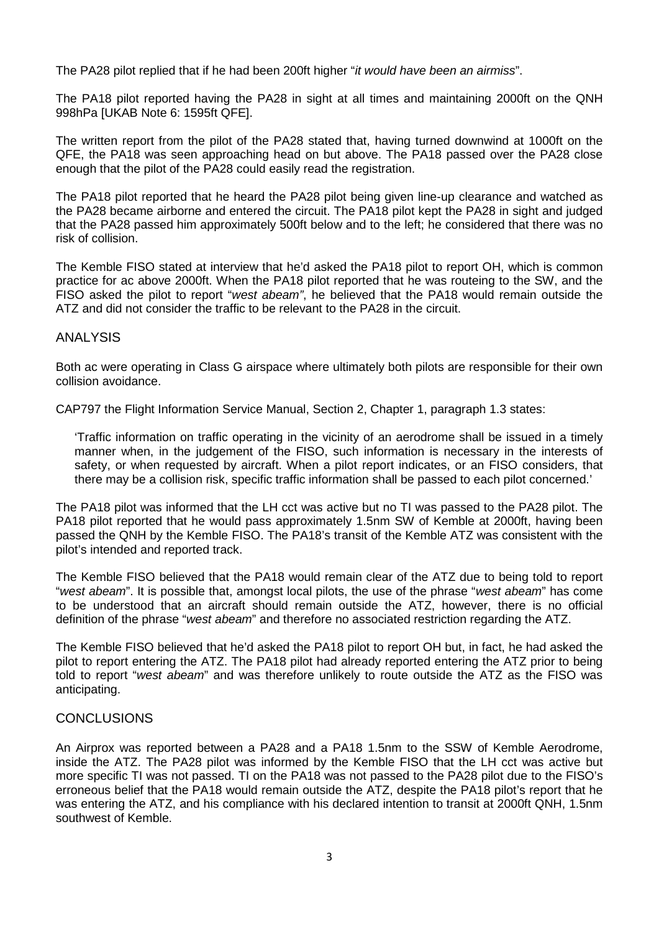The PA28 pilot replied that if he had been 200ft higher "*it would have been an airmiss*".

The PA18 pilot reported having the PA28 in sight at all times and maintaining 2000ft on the QNH 998hPa [UKAB Note 6: 1595ft QFE].

The written report from the pilot of the PA28 stated that, having turned downwind at 1000ft on the QFE, the PA18 was seen approaching head on but above. The PA18 passed over the PA28 close enough that the pilot of the PA28 could easily read the registration.

The PA18 pilot reported that he heard the PA28 pilot being given line-up clearance and watched as the PA28 became airborne and entered the circuit. The PA18 pilot kept the PA28 in sight and judged that the PA28 passed him approximately 500ft below and to the left; he considered that there was no risk of collision.

The Kemble FISO stated at interview that he'd asked the PA18 pilot to report OH, which is common practice for ac above 2000ft. When the PA18 pilot reported that he was routeing to the SW, and the FISO asked the pilot to report "*west abeam"*, he believed that the PA18 would remain outside the ATZ and did not consider the traffic to be relevant to the PA28 in the circuit.

## ANALYSIS

Both ac were operating in Class G airspace where ultimately both pilots are responsible for their own collision avoidance.

CAP797 the Flight Information Service Manual, Section 2, Chapter 1, paragraph 1.3 states:

'Traffic information on traffic operating in the vicinity of an aerodrome shall be issued in a timely manner when, in the judgement of the FISO, such information is necessary in the interests of safety, or when requested by aircraft. When a pilot report indicates, or an FISO considers, that there may be a collision risk, specific traffic information shall be passed to each pilot concerned.'

The PA18 pilot was informed that the LH cct was active but no TI was passed to the PA28 pilot. The PA18 pilot reported that he would pass approximately 1.5nm SW of Kemble at 2000ft, having been passed the QNH by the Kemble FISO. The PA18's transit of the Kemble ATZ was consistent with the pilot's intended and reported track.

The Kemble FISO believed that the PA18 would remain clear of the ATZ due to being told to report "*west abeam*". It is possible that, amongst local pilots, the use of the phrase "*west abeam*" has come to be understood that an aircraft should remain outside the ATZ, however, there is no official definition of the phrase "*west abeam*" and therefore no associated restriction regarding the ATZ.

The Kemble FISO believed that he'd asked the PA18 pilot to report OH but, in fact, he had asked the pilot to report entering the ATZ. The PA18 pilot had already reported entering the ATZ prior to being told to report "*west abeam*" and was therefore unlikely to route outside the ATZ as the FISO was anticipating.

# **CONCLUSIONS**

An Airprox was reported between a PA28 and a PA18 1.5nm to the SSW of Kemble Aerodrome, inside the ATZ. The PA28 pilot was informed by the Kemble FISO that the LH cct was active but more specific TI was not passed. TI on the PA18 was not passed to the PA28 pilot due to the FISO's erroneous belief that the PA18 would remain outside the ATZ, despite the PA18 pilot's report that he was entering the ATZ, and his compliance with his declared intention to transit at 2000ft QNH, 1.5nm southwest of Kemble.